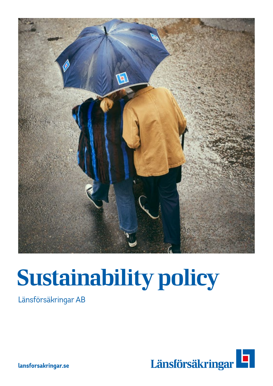

# Sustainability policy

Länsförsäkringar AB



**lansforsakringar.se**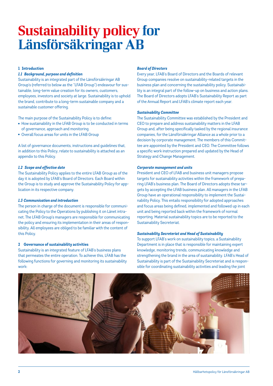## Sustainability policy for Länsförsäkringar AB

#### **1 Introduction**

#### *1.1 Background, purpose and definition*

Sustainability is an integrated part of the Länsförsäkringar AB Group's (referred to below as the "LFAB Group") endeavour for sustainable, long-term value creation for its owners, customers, employees, investors and society at large. Sustainability is to uphold the brand, contribute to a long-term sustainable company and a sustainable customer offering.

The main purpose of the Sustainability Policy is to define:

- How sustainability in the LFAB Group is to be conducted in terms of governance, approach and monitoring
- Overall focus areas for units in the LFAB Group

A list of governance documents, instructions and guidelines that, in addition to this Policy, relate to sustainability is attached as an appendix to this Policy.

#### *1.2 Scope and effective date*

The Sustainability Policy applies to the entire LFAB Group as of the day it is adopted by LFAB's Board of Directors. Each Board within the Group is to study and approve the Sustainability Policy for application in its respective company.

#### *1.3 Communication and introduction*

The person in charge of the document is responsible for communicating the Policy to the Operations by publishing it on Länet intranet. The LFAB Group's managers are responsible for communicating the policy and ensuring its implementation in their areas of responsibility. All employees are obliged to be familiar with the content of this Policy.

#### **2 Governance of sustainability activities**

Sustainability is an integrated feature of LFAB's business plans that permeates the entire operation. To achieve this, LFAB has the following functions for governing and monitoring its sustainability work:

#### *Board of Directors*

Every year, LFAB's Board of Directors and the Boards of relevant Group companies resolve on sustainability-related targets in the business plan and concerning the sustainability policy. Sustainability is an integral part of the follow-up on business and action plans. The Board of Directors adopts LFAB's Sustainability Report as part of the Annual Report and LFAB's climate report each year.

#### *Sustainability Committee*

The Sustainability Committee was established by the President and CEO to prepare and address sustainability matters in the LFAB Group and, after being specifically tasked by the regional insurance companies, for the Länsförsäkringar Alliance as a whole prior to a decision by corporate management. The members of this Committee are appointed by the President and CEO. The Committee follows a specific work instruction prepared and updated by the Head of Strategy and Change Management.

#### *Corporate management and units*

President and CEO of LFAB and business unit managers propose targets for sustainability activities within the framework of preparing LFAB's business plan. The Board of Directors adopts these targets by accepting the LFAB business plan. All managers in the LFAB Group have an operational responsibility to implement the Sustainability Policy. This entails responsibility for adopted approaches and focus areas being defined, implemented and followed up in each unit and being reported back within the framework of normal reporting. Material sustainability topics are to be reported to the Sustainability Secreteriat.

#### *Sustainability Secreteriat and Head of Sustainability*

To support LFAB's work on sustainability topics, a Sustainability Department is in place that is responsible for maintaining expert knowledge, monitoring trends, communicating knowledge and strengthening the brand in the area of sustainability. LFAB's Head of Sustainability is part of the Sustainability Secreteriat and is responsible for coordinating sustainability activities and leading the joint

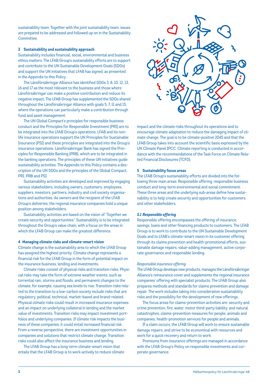sustainability team. Together with the joint sustainability team, issues are prepared to be addressed and followed up on in the Sustainability Committee.

#### **3 Sustainability and sustainability approach**

Sustainability includes financial, social, environmental and business ethics matters. The LFAB Group's sustainability efforts are to support and contribute to the UN Sustainable Development Goals (SDGs) and support the UN initiatives that LFAB has signed, as presented in the Appendix to this Policy.

The Länsförsäkringar Alliance has identified SDGs 3, 8, 10, 12, 13, 16 and 17 as the most relevant to the business and those where Länsförsäkringar can make a positive contribution and reduce its negative impact. The LFAB Group has supplemented the SDGs shared throughout the Länsförsäkringar Alliance with goals 5, 7, 11 and 15, where the operations can particularly make a contribution through fund and asset management.

The UN Global Compact's principles for responsible business conduct and the Principles for Responsible Investment (PRI) are to be integrated into the LFAB Group's operations. LFAB and its nonlife insurance operations support the UN Principles for Sustainable Insurance (PSI) and these principles are integrated into the Group's insurance operations. Länsförsäkringar Bank has signed the Principles for Responsible Banking (PRB), which are to be integrated in the banking operations. The principles of these UN initiatives guide sustainability activities. The Appendix to this Policy contains a description of the UN SDGs and the principles of the Global Compact, PRI, PRB and PSI.

Sustainability activities are developed and improved by engaging various stakeholders, including owners, customers, employees, suppliers, investors, partners, industry and civil society organisations and authorities. As owners and the recipient of the LFAB Group's deliveries, the regional insurance companies hold a unique position among stakeholders.

Sustainability activities are based on the vision of "Together we create security and opportunities." Sustainability is to be integrated throughout the Group's value chain, with a focus on the areas in which the LFAB Group can make the greatest difference.

#### **4 Managing climate risks and climate-smart vision**

Climate change is the sustainability area to which the LFAB Group has assigned the highest priority. Climate change represents a financial risk for the LFAB Group in the form of potential impact on the insurance business, lending and investments.

Climate risks consist of physical risks and transition risks. Physical risks may take the form of extreme weather events, such as torrential rain, storms and floods, and permanent changes to the climate, for example, causing sea levels to rise. Transition risks related to the transition to a low-carbon society include risks that are regulatory, political, technical, market-based and brand-related. Physical climate risks could result in increased insurance expenses and an impact on underlying collateral in lending and the market value of investments. Transition risks may impact investment portfolios and underlying companies. If climate risk impacts the business of these companies, it could entail increased financial risk. From a reverse perspective, there are investment opportunities in companies and solutions that restrict climate change. Transition risks could also affect the insurance business and lending.

The LFAB Group has a long-term climate-smart vision that entails that the LFAB Group is to work actively to reduce climate



impact and the climate risks throughout its operations and to encourage climate adaptation to reduce the damaging impact of climate change. The goal is to be climate-positive 2045 and that the LFAB Group takes into account the scientific basis expressed by the UN Climate Panel IPCC. Climate reporting is conducted in accordance with the recommendations of the Task Force on Climate Related Financial Disclosures (TCFD).

#### **5 Sustainability focus areas**

The LFAB Group's sustainability efforts are divided into the following three main areas: Responsible offering, responsible business conduct and long-term environmental and social commitment. These three areas and the underlying sub-areas define how sustainability is to help create security and opportunities for customers and other stakeholders.

#### *5.1 Responsible offering*

Responsible offering encompasses the offering of insurance, savings, loans and other financing products to customers. The LFAB Group is to work to contribute to the UN Sustainable Development Goals and to LFAB's climate-smart vision in its customer offering through its claims prevention and health-promotional efforts, sustainable damage repairs, value-adding management, active corporate governance and responsible lending.

#### *Responsible insurance offering*

The LFAB Group develops new products, manages the Länsförsäkringar Alliance's reinsurance cover and supplements the regional insurance companies' offering with specialist products. The LFAB Group also prepares methods and standards for claims prevention and damage repair. The work includes taking into consideration sustainability risks and the possibility for the development of new offerings.

The focus areas for claims-prevention activities are: security and crime prevention, fire, water, motor third-party liability, and natural catastrophes, claims-prevention measures for people, animals and companies, health-promotion services for people and animals.

If a claim occurs, the LFAB Group will work to ensure sustainable damage repairs, and strive to be economical with resources and work for a quick recovery and return to work.

Premiums from insurance offerings are managed in accordance with the LFAB Group's Policy on responsible investments and corporate governance.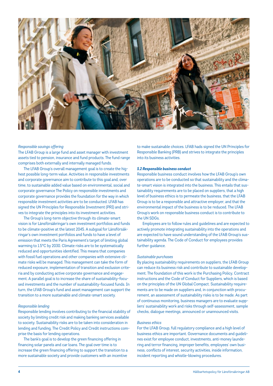

#### *Responsible savings offering*

The LFAB Group is a large fund and asset manager with investment assets tied to pension, insurance and fund products. The fund range comprises both externally and internally managed funds.

The LFAB Group's overall management goal is to create the highest possible long-term value. Activities in responsible investments and corporate governance aim to contribute to this goal and, over time, to sustainable added value based on environmental, social and corporate governance The Policy on responsible investments and corporate governance provides the foundation for the way in which responsible investment activities are to be conducted. LFAB has signed the UN Principles for Responsible Investment (PRI) and strives to integrate the principles into its investment activities.

The Group's long-term objective through its climate-smart vision is for Länsförsäkringar's own investment portfolios and funds to be climate-positive at the latest 2045. A subgoal for Länsförsäkringar's own investment portfolios and funds to have a level of emission that meets the Paris Agreement's target of limiting global warming to 1.5°C by 2030. Climate risks are to be systematically reduced and opportunities identified. This means that companies with fossil fuel operations and other companies with extensive climate risks will be managed. This management can take the form of reduced exposure, implementation of transition and exclusion criteria and by conducting active corporate governance and engagement. A parallel goal is to increase the share of sustainability-focused investments and the number of sustainability-focused funds. In turn, the LFAB Group's fund and asset management can support the transition to a more sustainable and climate-smart society.

#### *Responsible lending*

Responsible lending involves contributing to the financial stability of society by limiting credit risk and making banking services available to society. Sustainability risks are to be taken into consideration in lending and funding. The Credit Policy and Credit instructions comprise the basis for lending operations.

The bank's goal is to develop the green financing offering in financing solar panels and car loans. The goal over time is to increase the green financing offering to support the transition to a more sustainable society and provide customers with an incentive

to make sustainable choices. LFAB hads signed the UN Principles for Responsible Banking (PRB) and strives to integrate the principles into its business activities.

#### *5.2 Responsible business conduct*

Responsible business conduct involves how the LFAB Group's own operations are to be conducted so that sustainability and the climate-smart vision is integrated into the business. This entails that sustainability requirements are to be placed on suppliers, that a high level of business ethics is to permeate the business, that the LFAB Group is to be a responsible and attractive employer, and that the environmental impact of the business is to be reduced. The LFAB Group's work on responsible business conduct is to contribute to the UN SDGs.

Employees are to follow rules and guidelines and are expected to actively promote integrating sustainability into the operations and are expected to have sound understanding of the LFAB Group's sustainability agenda. The Code of Conduct for employees provides further guidance.

#### *Sustainable purchases*

By placing sustainability requirements on suppliers, the LFAB Group can reduce its business risk and contribute to sustainable development. The foundation of this work is the Purchasing Policy, Contract instructions and the Code of Conduct for Suppliers, which is based on the principles of the UN Global Compact. Sustainability requirements are to be made on suppliers and, in conjunction with procurement, an assessment of sustainability risks is to be made. As part of continuous monitoring, business managers are to evaluate suppliers' sustainability work and risks through self-assessment, sample checks, dialogue meetings, announced or unannounced visits.

#### *Business ethics*

For the LFAB Group, full regulatory compliance and a high level of business ethics are important. Governance documents and guidelines exist for employee conduct, investments, anti-money laundering and terror financing, improper benefits, employees' own business, conflicts of interest, security activities, inside information, incident reporting and whistle-blowing procedures.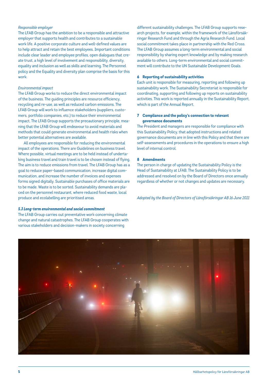#### *Responsible employer*

The LFAB Group has the ambition to be a responsible and attractive employer that supports health and contributes to a sustainable work life. A positive corporate culture and well-defined values are to help attract and retain the best employees. Important conditions include clear leader and employee profiles, open dialogues that create trust, a high level of involvement and responsibility, diversity, equality and inclusion as well as skills and learning. The Personnel policy and the Equality and diversity plan comprise the basis for this work.

#### *Environmental impact*

The LFAB Group works to reduce the direct environmental impact of the business. The guiding principles are resource efficiency, recycling and re-use, as well as reduced carbon emissions. The LFAB Group will work to influence stakeholders (suppliers, customers, portfolio companies, etc.) to reduce their environmental impact. The LFAB Group supports the precautionary principle, meaning that the LFAB Group will endeavour to avoid materials and methods that could generate environmental and health risks when better potential alternatives are available.

All employees are responsible for reducing the environmental impact of the operations. There are Guidelines on business travel. Where possible, virtual meetings are to be held instead of undertaking business travel and train travel is to be chosen instead of flying. The aim is to reduce emissions from travel. The LFAB Group has as a goal to reduce paper-based communication, increase digital communication, and increase the number of invoices and expenses forms signed digitally. Sustainable purchases of office materials are to be made. Waste is to be sorted. Sustainability demands are placed on the personnel restaurant, where reduced food waste, local produce and ecolabelling are prioritised areas.

#### *5.3 Long-term environmental and social commitment*

The LFAB Group carries out preventative work concerning climate change and natural catastrophes. The LFAB Group cooperates with various stakeholders and decision-makers in society concerning

different sustainability challenges. The LFAB Group supports research projects, for example, within the framework of the Länsförsäkringar Research Fund and through the Agria Research Fund. Local social commitment takes place in partnership with the Red Cross. The LFAB Group assumes a long-term environmental and social responsibility by sharing expert knowledge and by making research available to others. Long-term environmental and social commitment will contribute to the UN Sustainable Development Goals.

#### **6 Reporting of sustainability activities**

Each unit is responsible for measuring, reporting and following up sustainability work. The Sustainability Secreteriat is responsible for coordinating, supporting and following up reports on sustainability activities. This work is reported annually in the Sustainability Report, which is part of the Annual Report.

#### **7 Compliance and the policy's connection to relevant governance documents**

The President and managers are responsible for compliance with this Sustainability Policy, that adopted instructions and related governance documents are in line with this Policy and that there are self-assessments and procedures in the operations to ensure a high level of internal control.

#### **8 Amendments**

The person in charge of updating the Sustainability Policy is the Head of Sustainability at LFAB. The Sustainability Policy is to be addressed and resolved on by the Board of Directors once annually regardless of whether or not changes and updates are necessary.

*Adopted by the Board of Directors of Länsförsäkringar AB 16 June 2021*

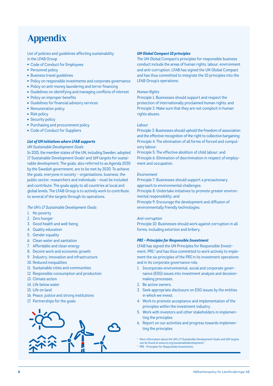### Appendix

List of policies and guidelines affecting sustainability in the LFAB Group

- Code of Conduct for Employees
- Personnel policy
- Business travel guidelines
- Policy on responsible investments and corporate governance
- Policy on anti-money laundering and terror financing
- Guidelines on identifying and managing conflicts of interest
- Policy on improper benefits
- Guidelines for financial advisory services
- Remuneration policy
- Risk policy
- Security policy
- Purchasing and procurement policy
- Code of Conduct for Suppliers

#### *List of UN initiatives where LFAB supports*

#### *UN Sustainable Development Goals*

In 2015, the member states of the UN, including Sweden, adopted 17 Sustainable Development Goals<sup>1</sup> and 169 targets for sustainable development. The goals, also referred to as Agenda 2030 by the Swedish government, are to be met by 2030. To achieve the goals, everyone in society – organisations, business, the public sector, researchers and individuals – must be included and contribute. The goals apply to all countries at local and global levels. The LFAB Group is to actively work to contribute to several of the targets through its operations.

#### *The UN's 17 Sustainable Development Goals:*

- 1. No poverty
- 2. Zero hunger
- 3. Good health and well-being
- 4. Quality education
- 5. Gender equality
- 6. Clean water and sanitation
- 7. Affordable and clean energy
- 8. Decent work and economic growth
- 9. Industry, innovation and infrastructure
- 10. Reduced inequalities
- 11. Sustainable cities and communities
- 12. Responsible consumption and production
- 13. Climate action
- 14. Life below water
- 15. Life on land
- 16. Peace, justice and strong institutions
- 17. Partnerships for the goals



#### *UN Global Compact 10 principles*

The UN Global Compact's principles for responsible business conduct include the areas of human rights, labour, environment and anti-corruption. LFAB has signed the UN Global Compact and has thus committed to integrate the 10 principles into the LFAB Group's operations:

#### *Human Rights*

Principle 1: Businesses should support and respect the protection of internationally proclaimed human rights; and Principle 2: Make sure that they are not complicit in human rights abuses.

#### *Labour*

Principle 3: Businesses should uphold the freedom of association and the effective recognition of the right to collective bargaining; Principle 4: The elimination of all forms of forced and compulsory labour;

Principle 5: The effective abolition of child labour; and Principle 6: Elimination of discrimination in respect of employment and occupation.

#### *Environment*

Principle 7: Businesses should support a precautionary approach to environmental challenges;

Principle 8: Undertake initiatives to promote greater environmental responsibility; and

Principle 9: Encourage the development and diffusion of environmentally friendly technologies.

#### *Anti-corruption*

Principle 10: Businesses should work against corruption in all forms, including extortion and bribery.

#### *PRI – Principles for Responsible Investment*

LFAB has signed the UN Principles for Responsible Investment, PRI,<sup>2</sup> and has thus committed to work actively to implement the six principles of the PRI in its investment operations and in its corporate governance role.

- 1. Incorporate environmental, social and corporate governance (ESG) issues into investment analysis and decisionmaking processes.
- 2. Be active owners.
- 3. Seek appropriate disclosure on ESG issues by the entities in which we invest.
- 4. Work to promote acceptance and implementation of the principles within the investment industry.
- 5. Work with investors and other stakeholders in implementing the principles.
- 6. Report on our activities and progress towards implementing the principles

<sup>1</sup> More information about the UN's 17 Sustainable Development Goals and 169 targets can be found at www.un.org/sustainabledevelopment/ <sup>2</sup> PRI - Principles for Responsible Investments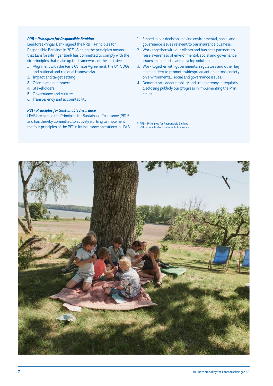#### *PRB – Principles for Responsible Banking*

Länsförsäkringar Bank signed the PRB – Principles for Responsible Banking $3$  in 2021. Signing the principles means that Länsförsäkringar Bank has committed to comply with the six principles that make up the framework of the initiative.

- 1. Alignment with the Paris Climate Agreement, the UN SDGs and national and regional frameworks
- 2. Impact and target setting
- 3. Clients and customers
- 4. Stakeholders
- 5. Governance and culture
- 6. Transparency and accountability

#### *PSI - Principles for Sustainable Insurance*

LFAB has signed the Principles for Sustainable Insurance (PSI)4 and has thereby committed to actively working to implement the four principles of the PSI in its insurance operations in LFAB.

- 1. Embed in our decision-making environmental, social and governance issues relevant to our insurance business.
- 2. Work together with our clients and business partners to raise awareness of environmental, social and governance issues, manage risk and develop solutions.
- 3. Work together with governments, regulators and other key stakeholders to promote widespread action across society on environmental, social and governance issues.
- 4. Demonstrate accountability and transparency in regularly disclosing publicly our progress in implementing the Principles.
- <sup>3</sup> PRB Principles for Responsible Banking
- <sup>4</sup> PSI -Principles for Sustainable Insurance